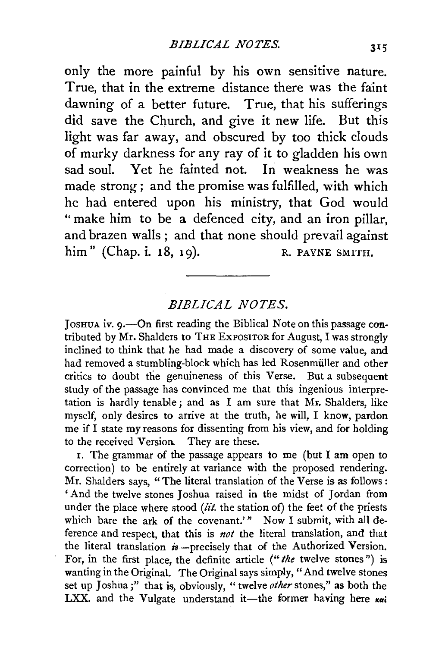only the more painful by his own sensitive nature. True, that in the extreme distance there was the faint dawning of a better future. True, that his sufferings did save the Church, and give it new life. But this light was far away, and obscured by too thick clouds of murky darkness for any ray of it to gladden his own sad soul. Yet he fainted not. In weakness he was made strong ; and the promise was fulfilled, with which he had entered upon his ministry, that God would "make him to be a defenced city, and an iron pillar, and brazen walls ; and that none should prevail against him" (Chap. i. 18, 19). R. PAYNE SMITH.

## *BIBLlGA.L NOTES.*

JOSHUA iv. 9.-0n first reading the Biblical Note on this passage contributed by Mr. Shalders to THE ExPOSITOR for August, I was strongly inclined to think that he had made a discovery of some value, and had removed a stumbling-block which has led Rosenmiiller and other critics to doubt the genuineness of this Verse. But a subsequent study of the passage has convinced me that this ingenious interpretation is hardly tenable; and as I am sure that Mr. Shalders, like myself, only desires to arrive at the truth, he will, I know, pardon me if I state my reasons for dissenting from his view, and for holding to the received Version. They are these.

 $x$ . The grammar of the passage appears to me (but I am open to correction) to be entirely at variance with the proposed rendering. Mr. Shalders says, "The literal translation of the Verse is as follows : ' And the twelve stones Joshua raised in the midst of Jordan from under the place where stood ( $\ddot{u}t$ , the station of) the feet of the priests which bare the ark of the covenant.'" Now I submit, with all deference and respect, that this is *not* the literal translation, and that the literal translation  $\dot{\mathbf{z}}$ -precisely that of the Authorized Version. For, in the first place, the definite article *("the* twelve stones") is wanting in the Original. The Original says simply, "And twelve stones set up Joshua;" that is, obviously, " twelve *other* stones," as both the LXX. and the Vulgate understand it—the former having here  $\kappa a_i$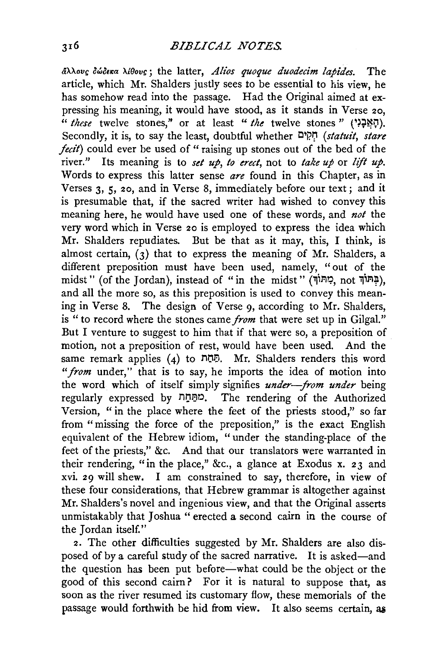$d\lambda \lambda$ ov<sub>S</sub> *DwOExa*  $\lambda$ *iθovs*; the latter, *Alios quoque duodecim lapides.* The article, which Mr. Shalders justly sees to be essential to his view, he has somehow read into the passage. Had the Original aimed at expressing his meaning, it would have stood, as it stands in Verse 20, " *these* twelve stones," or at least " *the* twelve stones " (יְהָצְבָל, Secondly, it is, to say the least, doubtful whether l:l i?~ *(statui!, stare fecit)* could ever be used of " raising up stones out of the bed of the river." Its meaning is to *set up, to erect,* not to *take up* or *lift up.*  Words to express this latter sense *are* found in this Chapter, as in Verses 3, 5, 20, and in Verse 8, immediately before our text; and it is presumable that, if the sacred writer had wished to convey this meaning here, he would have used one of these words, and *not* the very word which in Verse 20 is employed to express the idea which Mr. Shalders repudiates. But be that as it may, this, I think, is almost certain,  $\overline{(\alpha)}$  that to express the meaning of Mr. Shalders, a different preposition must have been used, namely, "out of the midst" (of the Jordan), instead of "in the midst" (קָּתּוֹךָ, not בְּתוֹה, and all the more so, as this preposition is used to convey this meaning in Verse 8. The design of Verse 9, according to Mr. Shalders, is "to record where the stones came *from* that were set up in Gilgal." But I venture to suggest to him that if that were so, a preposition of motion, not a preposition of rest, would have been used. And the same remark applies (4) to  $n\overline{p}$ . Mr. Shalders renders this word *"from* under," that is to say, he imports the idea of motion into the word which of itself simply signifies *under-from under* being regularly expressed by ni)BO. The rendering of the Authorized Version, " in the place where the feet of the priests stood," so far from "missing the force of the preposition," is the exact English equivalent of the Hebrew idiom, " under the standing-place of the feet of the priests," &c. And that our translators were warranted in their rendering, "in the place," &c., a glance at Exodus x. 23 and xvi. 29 will shew. I am constrained to say, therefore, in view of these four considerations, that Hebrew grammar is altogether against Mr. Shalders's novel and ingenious view, and that the Original asserts unmistakably that Joshua " erected a second cairn in the course of the Jordan itself."

2. The other difficulties suggested by Mr. Shalders are also disposed of by a careful study of the sacred narrative. It is asked-and the question has been put before—what could be the object or the good of this second cairn? For it is natural to suppose that, as soon as the river resumed its customary flow, these memorials of the passage would forthwith be hid from view. It also seems certain, as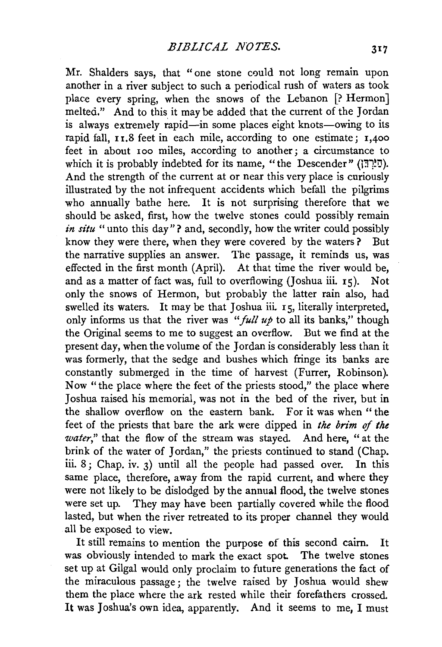Mr. Shalders says, that "one stone could not long remain upon another in a river subject to such a periodical rush of waters as took place every spring, when the snows of the Lebanon [? Hermon] melted." And to this it may be added that the current of the Jordan is always extremely rapid—in some places eight knots—owing to its rapid fall,  $I_1$ ,  $S$  feet in each mile, according to one estimate;  $I_1$ ,  $400$ feet in about Ioo miles, according to another; a circumstance to which it is probably indebted for its name, "the Descender" ( $\overline{17}$ י And the strength of the current at or near this very place is curiously illustrated by the not infrequent accidents which befall the pilgrims who annually bathe here. It is not surprising therefore that we should be asked, first, how the twelve stones could possibly remain in situ " unto this day"? and, secondly, how the writer could possibly know they were there, when they were covered by the waters ? But the narrative supplies an answer. The passage, it reminds us, was effected in the first month (April). At that time the river would be, and as a matter of fact was, full to overflowing (Joshua iii.  $15$ ). Not only the snows of Hermon, but probably the latter rain also, had swelled its waters. It may be that Joshua iii. 15, literally interpreted, only informs us that the river was " $full$  up to all its banks," though the Original seems to me to suggest an overflow. But we find at the present day, when the volume of the Jordan is considerably less than it was formerly, that the sedge and bushes which fringe its banks are constantly submerged in the time of harvest (Furrer, Robinson). Now "the place where the feet of the priests stood," the place where Joshua raised his memorial, was not in the bed of the river, but in the shallow overflow on the eastern bank. For it was when "the feet of the priests that bare the ark were dipped in *the brim* of *the water,"* that the flow of the stream was stayed. And here, "at the brink of the water of Jordan," the priests continued to stand (Chap. iii. 8; Chap. iv. 3) until all the people had passed over. In this same place, therefore, away from the rapid current, and where they were not likely to be dislodged by the annual flood, the twelve stones were set up. They may have been partially covered while the flood lasted, but when the river retreated to its proper channel they would all be exposed to view.

It still remains to mention the purpose of this second cairn. It was obviously intended to mark the exact spot. The twelve stones set up at Gilgal would only proclaim to future generations the fact of the miraculous passage ; the twelve raised by Joshua would shew them the place where the ark rested while their forefathers crossed. It was Joshua's own idea, apparently. And it seems to me, I must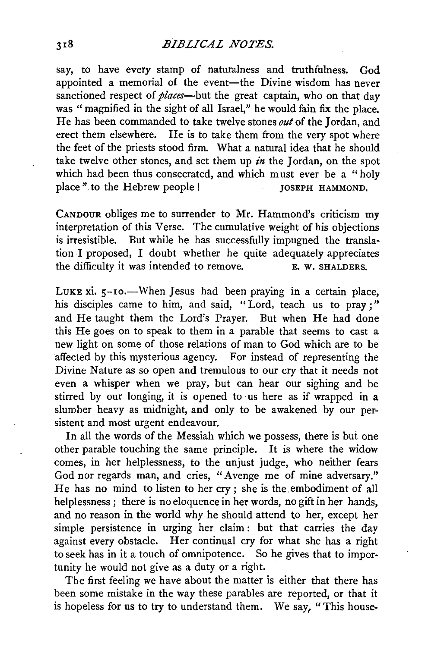## *BIBLICAL NOTES.*

say, to have every stamp of naturalness and truthfulness. God appointed a memorial of the event-the Divine wisdom has never sanctioned respect of *places*—but the great captain, who on that day was " magnified in the sight of all Israel," he would fain fix the place. He has been commanded to take twelve stones *out* of the Jordan, and erect them elsewhere. He is to take them from the very spot where the feet of the priests stood firm. What a natural idea that he should take twelve other stones, and set them up  $\dot{\mathbf{m}}$  the Jordan, on the spot which had been thus consecrated, and which must ever be a "holy place" to the Hebrew people ! JOSEPH HAMMOND.

CANDOUR obliges me to surrender to Mr. Hammond's criticism my interpretation of this Verse. The cumulative weight of his objections is irresistible. But while he has successfully impugned the translation I proposed, I doubt whether he quite adequately appreciates the difficulty it was intended to remove. the difficulty it was intended to remove.

LUKE  $xi$ .  $5$ -10.—When Jesus had been praying in a certain place, his disciples came to him, and said, "Lord, teach us to pray;" and He taught them the Lord's Prayer. But when He had done this He goes on to speak to them in a parable that seems to cast a new light on some of those relations of man to God which are to be affected by this mysterious agency. For instead of representing the Divine Nature as so open and tremulous to our cry that it needs not even a whisper when we pray, but can hear our sighing and be stirred by our longing, it is opened to us here as if wrapped in a slumber heavy as midnight, and only to be awakened by our persistent and most urgent endeavour.

In all the words of the Messiah which we possess, there is but one other parable touching the same principle. It is where the widow comes, in her helplessness, to the unjust judge, who neither fears God nor regards man, and cries, "Avenge me of mine adversary." He has no mind to listen to her cry; she is the embodiment of all helplessness; there is no eloquence in her words, no gift in her hands, and no reason in the world why he should attend to her, except her simple persistence in urging her claim : but that carries the day against every obstacle. Her continual cry for what she has a right to seek has in it a touch of omnipotence. So he gives that to importunity he would not give as a duty or a right.

The first feeling we have about the matter is either that there has been some mistake in the way these parables are reported, or that it is hopeless for us to try to understand them. We say, "This house-